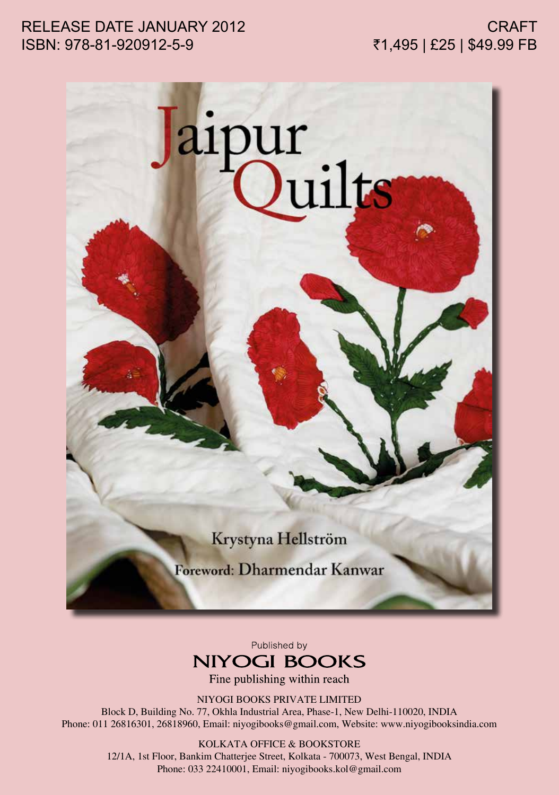## RELEASE DATE JANUARY 2012 ISBN: 978-81-920912-5-9



Published by **NIYOGI BOOKS** 

Fine publishing within reach

NIYOGI BOOKS PRIVATE LIMITED

Block D, Building No. 77, Okhla Industrial Area, Phase-1, New Delhi-110020, INDIA Phone: 011 26816301, 26818960, Email: niyogibooks@gmail.com, Website: www.niyogibooksindia.com

> KOLKATA OFFICE & BOOKSTORE 12/1A, 1st Floor, Bankim Chatterjee Street, Kolkata - 700073, West Bengal, INDIA Phone: 033 22410001, Email: niyogibooks.kol@gmail.com